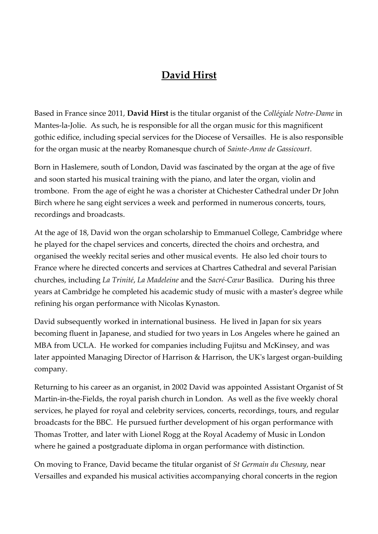## **David Hirst**

Based in France since 2011, **David Hirst** is the titular organist of the *Collégiale Notre-Dame* in Mantes-la-Jolie. As such, he is responsible for all the organ music for this magnificent gothic edifice, including special services for the Diocese of Versailles. He is also responsible for the organ music at the nearby Romanesque church of *Sainte-Anne de Gassicourt*.

Born in Haslemere, south of London, David was fascinated by the organ at the age of five and soon started his musical training with the piano, and later the organ, violin and trombone. From the age of eight he was a chorister at Chichester Cathedral under Dr John Birch where he sang eight services a week and performed in numerous concerts, tours, recordings and broadcasts.

At the age of 18, David won the organ scholarship to Emmanuel College, Cambridge where he played for the chapel services and concerts, directed the choirs and orchestra, and organised the weekly recital series and other musical events. He also led choir tours to France where he directed concerts and services at Chartres Cathedral and several Parisian churches, including *La Trinité*, *La Madeleine* and the *Sacré-Cœur* Basilica. During his three years at Cambridge he completed his academic study of music with a master's degree while refining his organ performance with Nicolas Kynaston.

David subsequently worked in international business. He lived in Japan for six years becoming fluent in Japanese, and studied for two years in Los Angeles where he gained an MBA from UCLA. He worked for companies including Fujitsu and McKinsey, and was later appointed Managing Director of Harrison & Harrison, the UK's largest organ-building company.

Returning to his career as an organist, in 2002 David was appointed Assistant Organist of St Martin-in-the-Fields, the royal parish church in London. As well as the five weekly choral services, he played for royal and celebrity services, concerts, recordings, tours, and regular broadcasts for the BBC. He pursued further development of his organ performance with Thomas Trotter, and later with Lionel Rogg at the Royal Academy of Music in London where he gained a postgraduate diploma in organ performance with distinction.

On moving to France, David became the titular organist of *St Germain du Chesnay*, near Versailles and expanded his musical activities accompanying choral concerts in the region